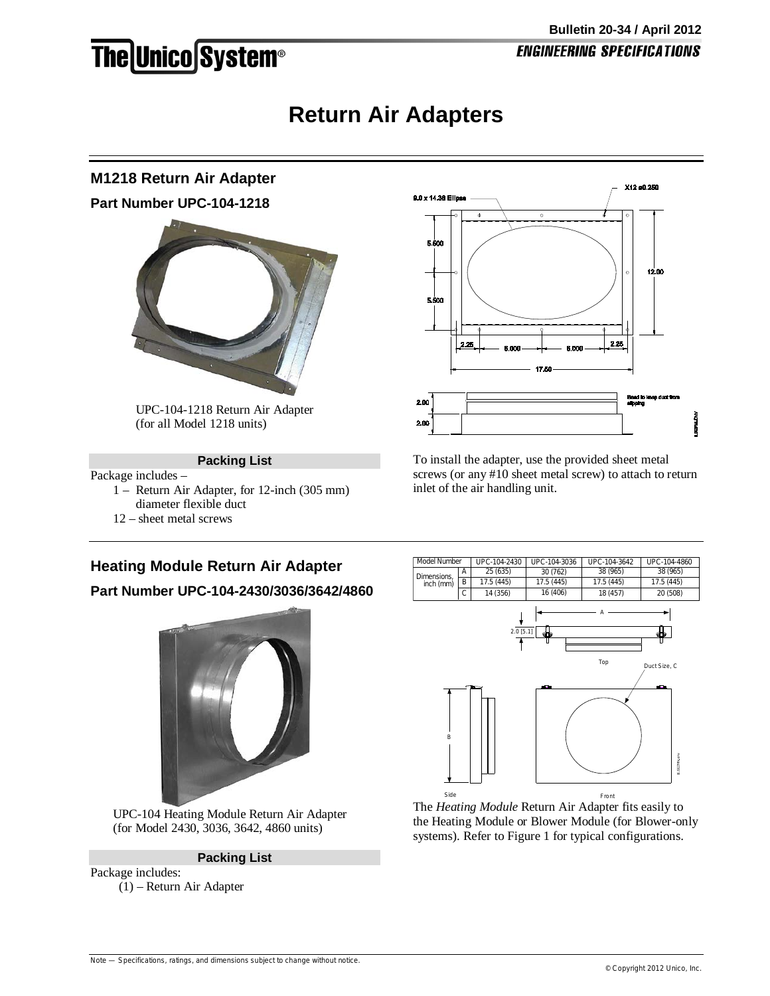## **The Unico System®**

### **Return Air Adapters**

# **M1218 Return Air Adapter Part Number UPC-104-1218** UPC-104-1218 Return Air Adapter

(for all Model 1218 units)

#### **Packing List**

Package includes –

- 1 Return Air Adapter, for 12-inch (305 mm) diameter flexible duct
- 12 sheet metal screws



To install the adapter, use the provided sheet metal screws (or any #10 sheet metal screw) to attach to return inlet of the air handling unit.

#### **Heating Module Return Air Adapter**

**Part Number UPC-104-2430/3036/3642/4860**



UPC-104 Heating Module Return Air Adapter (for Model 2430, 3036, 3642, 4860 units)

**Packing List**

Package includes: (1) – Return Air Adapter



The *Heating Module* Return Air Adapter fits easily to the Heating Module or Blower Module (for Blower-only systems). Refer to Figure 1 for typical configurations.